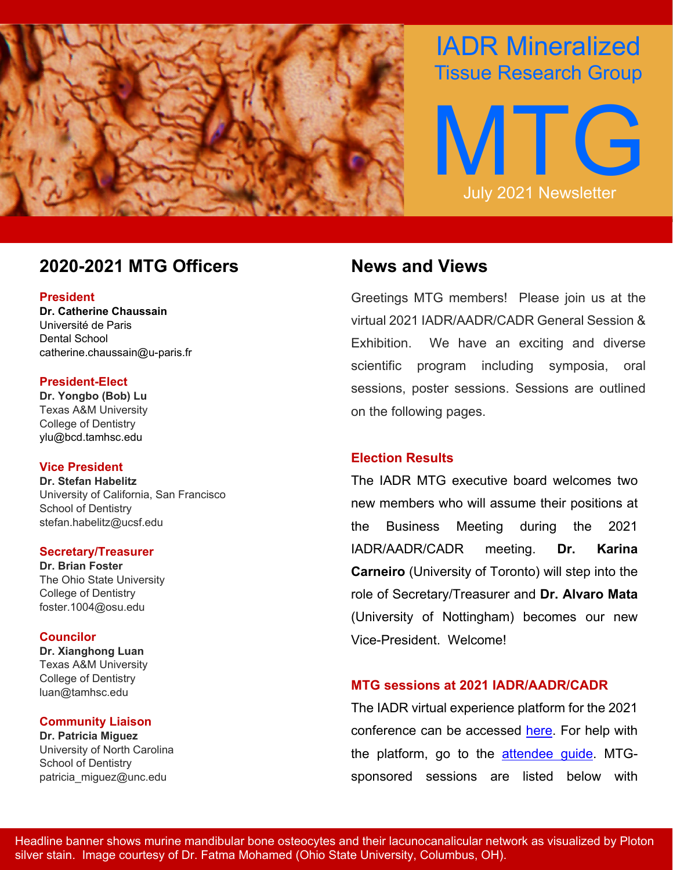

# IADR Mineralized Tissue Research Group



# **2020-2021 MTG Officers News and Views**

#### **President**

**Dr. Catherine Chaussain**  Université de Paris Dental School catherine.chaussain@u-paris.fr

#### **President-Elect**

**Dr. Yongbo (Bob) Lu** Texas A&M University College of Dentistry ylu@bcd.tamhsc.edu

#### **Vice President**

**Dr. Stefan Habelitz** University of California, San Francisco School of Dentistry stefan.habelitz@ucsf.edu

#### **Secretary/Treasurer**

**Dr. Brian Foster** The Ohio State University College of Dentistry foster.1004@osu.edu

#### **Councilor**

**Dr. Xianghong Luan**  Texas A&M University College of Dentistry luan@tamhsc.edu

#### **Community Liaison**

**Dr. Patricia Miguez** University of North Carolina School of Dentistry patricia miguez@unc.edu

Greetings MTG members! Please join us at the virtual 2021 IADR/AADR/CADR General Session & Exhibition. We have an exciting and diverse scientific program including symposia, oral sessions, poster sessions. Sessions are outlined on the following pages.

# **Election Results**

The IADR MTG executive board welcomes two new members who will assume their positions at the Business Meeting during the 2021 IADR/AADR/CADR meeting. **Dr. Karina Carneiro** (University of Toronto) will step into the role of Secretary/Treasurer and **Dr. Alvaro Mata** (University of Nottingham) becomes our new Vice-President. Welcome!

# **MTG sessions at 2021 IADR/AADR/CADR**

The IADR virtual experience platform for the 2021 conference can be accessed [here.](https://iadr2021.secure-platform.com/a/solicitations/6/sessiongallery/schedule?dayId=15&searchParams=%7B%22pageIndex%22%3A0%2C%22sortMode%22%3A%22SessionName%22%2C%22sortDirection%22%3A%22Ascending%22%2C%22sortByFieldId%22%3Anull%2C%22displayMode%22%3Anull%2C%22filterByFieldValues%22%3A%5B%5D%2C%22filterByTextValue%22%3Anull%2C%22filterByFavorites%22%3Afalse%2C%22filterByScheduleRoomIds%22%3A%5B%5D%2C%22filterBySessionTypeIds%22%3A%5B%5D%2C%22filterByScheduleDayIds%22%3A%5B%5D%2C%22filterByScheduleTimeSlotIds%22%3A%5B%5D%2C%22isScheduleOtherEventSearchAllowed%22%3Atrue%7D) For help with the platform, go to the [attendee guide.](https://iadr2021.secure-platform.com/a/page/guides/attendeeguides) MTGsponsored sessions are listed below with

Headline banner shows murine mandibular bone osteocytes and their lacunocanalicular network as visualized by Ploton silver stain. Image courtesy of Dr. Fatma Mohamed (Ohio State University, Columbus, OH).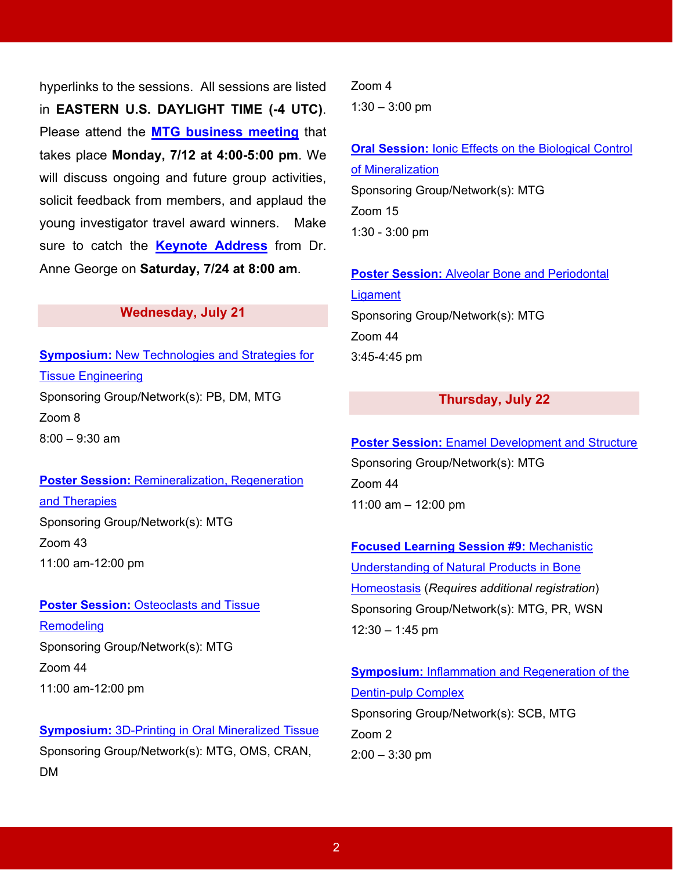hyperlinks to the sessions. All sessions are listed in **EASTERN U.S. DAYLIGHT TIME (-4 UTC)**. Please attend the **[MTG business meeting](https://iadr2021.secure-platform.com/a/solicitations/6/sessiongallery/schedule/items/146)** that takes place **Monday, 7/12 at 4:00-5:00 pm**. We will discuss ongoing and future group activities, solicit feedback from members, and applaud the young investigator travel award winners. Make sure to catch the **[Keynote Address](https://iadr2021.secure-platform.com/a/solicitations/6/sessiongallery/199)** from Dr. Anne George on **Saturday, 7/24 at 8:00 am**.

#### **Wednesday, July 21**

**[Symposium:](https://iadr2021.secure-platform.com/a/solicitations/6/sessiongallery/13)** New Technologies and Strategies for Tissue [Engineering](https://iadr2021.secure-platform.com/a/solicitations/6/sessiongallery/13) Sponsoring Group/Network(s): PB, DM, MTG Zoom 8  $8:00 - 9:30$  am

# **Poster Session:** [Remineralization,](https://iadr2021.secure-platform.com/a/solicitations/6/sessiongallery/357) Regeneration and [Therapies](https://iadr2021.secure-platform.com/a/solicitations/6/sessiongallery/357) Sponsoring Group/Network(s): MTG Zoom 43

11:00 am-12:00 pm

#### **Poster Session:** [Osteoclasts](https://iadr2021.secure-platform.com/a/solicitations/6/sessiongallery/358) and Tissue

**[Remodeling](https://iadr2021.secure-platform.com/a/solicitations/6/sessiongallery/358)** Sponsoring Group/Network(s): MTG Zoom 44 11:00 am-12:00 pm

**[Symposium:](https://iadr2021.secure-platform.com/a/solicitations/6/sessiongallery/88)** 3D-Printing in Oral Mineralized Tissue Sponsoring Group/Network(s): MTG, OMS, CRAN, DM

Zoom 4  $1:30 - 3:00$  pm

# **Oral Session:** Ionic Effects on the [Biological](https://iadr2021.secure-platform.com/a/solicitations/6/sessiongallery/201) Control of [Mineralization](https://iadr2021.secure-platform.com/a/solicitations/6/sessiongallery/201) Sponsoring Group/Network(s): MTG Zoom 15 1:30 - 3:00 pm

#### **Poster Session:** Alveolar Bone and [Periodontal](https://iadr2021.secure-platform.com/a/solicitations/6/sessiongallery/354)

**[Ligament](https://iadr2021.secure-platform.com/a/solicitations/6/sessiongallery/354)** Sponsoring Group/Network(s): MTG Zoom 44 3:45-4:45 pm

#### **Thursday, July 22**

### **Poster Session:** Enamel [Development](https://iadr2021.secure-platform.com/a/solicitations/6/sessiongallery/355) and Structure

Sponsoring Group/Network(s): MTG Zoom 44 11:00 am – 12:00 pm

**Focused Learning Session #9:** [Mechanistic](https://iadr2021.secure-platform.com/a/solicitations/6/sessiongallery?searchParams=%7B%22pageIndex%22%3A0%2C%22sortMode%22%3A%22SessionName%22%2C%22sortDirection%22%3A%22Ascending%22%2C%22sortByFieldId%22%3Anull%2C%22displayMode%22%3Anull%2C%22filterByFieldValues%22%3A%5B%7B%22fieldId%22%3A%2202f8e660-358c-4791-a412-39e61c95f792%22%2C%22listValueId%22%3A%224ee3892b-9f38-4fad-8119-6493a524e48c%22%7D%5D%2C%22filterByTextValue%22%3A%22%22%2C%22filterByFavorites%22%3Afalse%2C%22filterByScheduleRoomIds%22%3A%5B%5D%2C%22filterBySessionTypeIds%22%3A%5B%5D%2C%22filterByScheduleDayIds%22%3A%5B%5D%2C%22filterByScheduleTimeSlotIds%22%3A%5B%5D%2C%22isScheduleOtherEventSearchAllowed%22%3Atrue%7D) [Understanding](https://iadr2021.secure-platform.com/a/solicitations/6/sessiongallery?searchParams=%7B%22pageIndex%22%3A0%2C%22sortMode%22%3A%22SessionName%22%2C%22sortDirection%22%3A%22Ascending%22%2C%22sortByFieldId%22%3Anull%2C%22displayMode%22%3Anull%2C%22filterByFieldValues%22%3A%5B%7B%22fieldId%22%3A%2202f8e660-358c-4791-a412-39e61c95f792%22%2C%22listValueId%22%3A%224ee3892b-9f38-4fad-8119-6493a524e48c%22%7D%5D%2C%22filterByTextValue%22%3A%22%22%2C%22filterByFavorites%22%3Afalse%2C%22filterByScheduleRoomIds%22%3A%5B%5D%2C%22filterBySessionTypeIds%22%3A%5B%5D%2C%22filterByScheduleDayIds%22%3A%5B%5D%2C%22filterByScheduleTimeSlotIds%22%3A%5B%5D%2C%22isScheduleOtherEventSearchAllowed%22%3Atrue%7D) of Natural Products in Bone [Homeostasis](https://iadr2021.secure-platform.com/a/solicitations/6/sessiongallery?searchParams=%7B%22pageIndex%22%3A0%2C%22sortMode%22%3A%22SessionName%22%2C%22sortDirection%22%3A%22Ascending%22%2C%22sortByFieldId%22%3Anull%2C%22displayMode%22%3Anull%2C%22filterByFieldValues%22%3A%5B%7B%22fieldId%22%3A%2202f8e660-358c-4791-a412-39e61c95f792%22%2C%22listValueId%22%3A%224ee3892b-9f38-4fad-8119-6493a524e48c%22%7D%5D%2C%22filterByTextValue%22%3A%22%22%2C%22filterByFavorites%22%3Afalse%2C%22filterByScheduleRoomIds%22%3A%5B%5D%2C%22filterBySessionTypeIds%22%3A%5B%5D%2C%22filterByScheduleDayIds%22%3A%5B%5D%2C%22filterByScheduleTimeSlotIds%22%3A%5B%5D%2C%22isScheduleOtherEventSearchAllowed%22%3Atrue%7D) (*Requires additional registration*) Sponsoring Group/Network(s): MTG, PR, WSN  $12:30 - 1:45$  pm

**Symposium:** Inflammation and [Regeneration](https://iadr2021.secure-platform.com/a/solicitations/6/sessiongallery/50) of the [Dentin-pulp](https://iadr2021.secure-platform.com/a/solicitations/6/sessiongallery/50) Complex Sponsoring Group/Network(s): SCB, MTG Zoom 2  $2:00 - 3:30$  pm